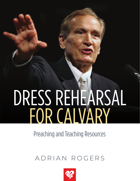# DRESS REHEARSAL FOR CALVARY

# Preaching and Teaching Resources

# ADRIAN ROGERS

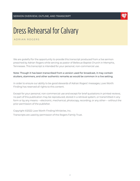

ADRIAN ROGERS

We are grateful for the opportunity to provide this transcript produced from a live sermon preached by Adrian Rogers while serving as pastor of Bellevue Baptist Church in Memphis, Tennessee. This transcript is intended for your personal, non-commercial use.

#### Note: Though it has been transcribed from a version used for broadcast, it may contain stutters, stammers, and other authentic remarks as would be common in a live setting.

In order to ensure our ability to be good stewards of Adrian Rogers' messages, Love Worth Finding has reserved all rights to this content.

Except for your personal, non-commercial use and except for brief quotations in printed reviews, no part of this publication may be reproduced, stored in a retrieval system, or transmitted in any form or by any means —electronic, mechanical, photocopy, recording, or any other— without the prior permission of the publisher.

Copyright ©2022 Love Worth Finding Ministries, Inc. Transcripts are used by permission of the Rogers Family Trust.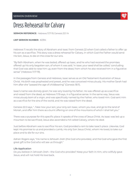

**SERMON REFERENCE:** Hebrews 11:17-19; Genesis 22:1-14

#### **LWF SERMON NUMBER:** #2394

Hebrews 11 recalls the story of Abraham and Isaac from Genesis 22 when God called a father to offer up his son as a sacrifice. This story was a dress rehearsal for Calvary, in which God the Father would send His Son, Jesus, to die on the cross for our sins.

"By faith Abraham, when he was tested, offered up Isaac, and he who had received the promises offered up his only begotten son, of whom it was said, 'In Isaac your seed shall be called,' concluding that God was able to raise him up, even from the dead, from which he also received him in a figurative sense" (Hebrews 11:17-19).

In the passages from Genesis and Hebrews, Isaac serves as an Old Testament illustration of Jesus Christ. His birth was prophesied and preset, and he was conceived miraculously. His mother Sarah had him after she "passed the age of childbearing" (Genesis 18:11).

Isaac's name was divinely given; he was very loved by his father. He was offered up as a sacrifice and raised from the dead, as Hebrews 11:19 says, in a figurative sense. In the same way, Jesus was miraculously born of a virgin, and was specifically named by the Father, who loved Him. God sent Him as a sacrifice for the sins of the world, and He was raised from the dead.

Genesis 22:2 says, "...Take now your son, your only son Isaac, whom you love, and go to the land of Moriah, and offer him there as a burnt offering on one of the mountains of which I shall tell you."

There was a purpose for this specific place: it speaks of the cross of Jesus Christ. As Isaac was led up a mountain to be sacrificed, Jesus also ascended a hill called Calvary, where He died.

Just before Abraham was to sacrifice his son, God provided a ram to take Isaac's place. Likewise, God kept His promise to us and provided a Lamb, His only Son Jesus Christ, whom He loved, to take our place and to die for our sins.

Adrian Rogers says, "His name is Jehovah-Jireh (the God who provides), and the God who gave the first great gift is the God who will see us through."

#### Life Application

Do you believe in Jehovah-Jireh—the God who provides? Keep your faith in Him, who willfully gave Jesus, and will not hold His love back.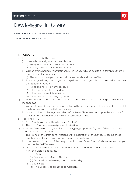

**SERMON REFERENCE:** Hebrews 11:17-19; Genesis 22:1-14

**LWF SERMON NUMBER:** #2394

#### 1) INTRODUCTION

- a) There is no book like the Bible.
	- i) It is one book and yet it is sixty-six books.
		- (1) Thirty-nine books in the Old Testament.
		- (2) Twenty-seven in the New Testament.
	- ii) Written over a period of about fifteen hundred years by at least forty different authors in three different languages.
		- (1) The authors were people from all backgrounds and walks of life.
	- iii) But when you bring them together, they don't make sixty-six books, they make one book that is bound together.
		- (1) It has one hero; His name is Jesus.
		- (2) It has one villain; he is the devil.
		- (3) It has one theme; it is salvation.
		- (4) It has one purpose; the glory of God.
- b) If you read the Bible anywhere, you're going to find the Lord Jesus standing somewhere in the shadows.
	- i) We see Jesus in the shadows as we look into the life of Abraham, the father of the faithful, the brightest star in the Hebrew heaven.
	- ii) As we look back in history, centuries before Jesus Christ was born upon this earth, we find a wonderful depiction of the life of our Lord Jesus Christ.
- c) Hebrews 11:17-19
	- i) "Tried" in this passage literally means "tested."
	- ii) The word "figure" means a type, an illustration.
- d) In the Old Testament, God gave illustrations, types, prophecies, figures of that which is to come in the New Testament.
	- i) This is one of the great confirmations of the inspiration of the Scripture, seeing these prophecies of Jesus many centuries before He was born.
	- ii) It is also a confirmation of the deity of our Lord and Savior Jesus Christ as we see Him pictured in the Old Testament.
- e) Do not get the idea that the Old Testament is about something other than Jesus.
	- i) All of the Bible is about Jesus.
		- (1) John 8:56
			- (a) "Your father" refers to Abraham.
			- (b) Jesus said Abraham rejoiced to see His day.
		- (2) Galatians 3:8
			- (a) The Gospel was preached to Abraham.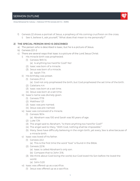#### SERMON OUTLINE

Dress Rehearsal for Calvary | Hebrews 11:17-19; Genesis 22:1-14 | #2394

f) Genesis 22 shows a portrait of Jesus, a prophecy of His coming crucifixion on the cross. i) See it, believe it, ask yourself, "What does that mean to me personally?"

#### 2) THE SPECIAL PERSON WHO IS DESCRIBED

- a) The person who is described is Isaac, but he is a picture of Jesus.
- b) Genesis 22:1-2
- c) There are several ways that Isaac is a picture of the Lord Jesus Christ:
	- i) His miracle birth was prophesied.
		- (1) Genesis 18:9-14
			- (a) Is anything too hard for God? No!
		- (2) Isaac was born of a miracle.
		- (3) Jesus was born of a miracle.
			- (a) Isaiah 7:14
	- ii) His birthday was preset.
		- (1) Genesis 21:1-2
			- (a) God not only prophesied the birth, but God prophesied the set time of the birth.
		- (2) Galatians 4:4
		- (3) Isaac was born at a set time.
		- (4) Jesus was born at a set time.
	- iii) Isaac's name was divinely given.
		- (1) Genesis 17:19
		- (2) Matthew 1:21
		- (3) Isaac was pre-named.
		- (4) Jesus was pre-named.
	- iv) Isaac was conceived of a miracle.
		- (1) Genesis 18:14
			- (a) Abraham was 100 and Sarah was 90 years of age.
		- (2) Luke 1:34
		- (3) The angel said to Abraham, "Is there anything too hard for God?"
		- (4) The angel said to Mary, "With God, nothing shall be impossible."
		- (5) Many Jews have difficulty believing in the virgin birth, yet every Jew is alive because of a miracle birth.
	- v) Isaac was loved of his father.
		- (1) Genesis 22:2
			- (a) This is the first time the word "love" is found in the Bible.
		- (2) Genesis 22:16
			- (a) Isaac is called Abraham's only son.
			- (b) Compare that to John 3:16.
		- (3) We think about God loving the world, but God loved His Son before He loved the world.
			- (a) John 5:20
	- vi) Isaac was offered up as a sacrifice.
		- (1) Jesus was offered up as a sacrifice.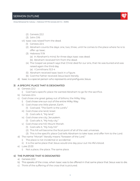



- (2) Genesis 22:2
- (3) John 3:16
- vii) Isaac was raised from the dead.
	- (1) Genesis 22:4
	- (2) Abraham counts the days: one, two, three, until he comes to the place where he is to offer up Isaac.
	- (3) Hebrews 11:19
		- (a) In Abraham's mind, for three days Isaac was dead.
		- (b) Abraham received him from the dead.
	- (4) The Gospel we preach says that Christ died for our sins, that He was buried and was raised again the third day.
		- (a) I Corinthians 15:3-4
	- (5) Abraham received Isaac back in a figure.
	- (6) God the Father received Jesus back literally.
- d) Isaac is a special person who represents and prefigures Jesus.

#### 3) A SPECIFIC PLACE THAT IS DESIGNATED

- a) Genesis 22:2
	- i) God had a specific place He wanted Abraham to go for the sacrifice.
- b) Genesis 22:4
- c) God chose one great galaxy out of billions; the Milky Way.
	- i) God chose one sun out of the entire Milky Way.
	- ii) God chose one little planet; Earth.
		- (1) God said, "The Earth is the Lord's."
	- iii) God chose one land; Israel.
		- (1) God calls it, "My land."
	- iv) God chose one city; Jerusalem.
		- (1) God calls it, "My holy city."
	- v) God chose one hill; Mount Moriah.
		- (1) God calls it, "My holy hill."
		- (2) This hill will become the focal point of all of the vast universes.
		- (3) This is the specific place God tells Abraham to take Isaac and offer him to the Lord.
- d) The name "Moriah" literally means "foreseen of the Lord."
	- i) The place is not incidental or accidental.
	- ii) It is the same place that Jesus would one day pour out His life's blood.
- e) Luke 23:33
	- i) Not a place, the place. The same place.

#### 4) THE PURPOSE THAT IS DESIGNATED

- a) Genesis 22:2
- b) This speaks of the cross, when Isaac was to be offered in that same place that Jesus was to die.
- c) Think of the suffering of the cross that is pictured.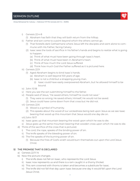Dress Rehearsal for Calvary | Hebrews 11:17-19; Genesis 22:1-14 | #2394

i) Genesis 22:4-8

(1) Abraham has faith that they will both return from the hilltop.

- ii) Father and son come to a point beyond which the others cannot go.
	- (1) That foretells dark Gethsemane where Jesus left the disciples and went alone to commune with His Father, facing Calvary.
	- (2) Isaac sees the tools of sacrifice in his father's hands and begins to realize what is going to happen.
		- (a) Think of what must have been going through Isaac's heart.
		- (b) Think of what must have been in Abraham's heart.
		- (c) Think of how much the Lord Jesus suffered.
		- (d) Think how much God the Father suffered as it is pictured here.
- iii) Genesis 22:9
	- (1) Aged Abraham begins to bind Isaac's hands.
		- (a) Abraham is well beyond 100 years of age.
		- (b) Isaac is not a child but a strapping young man.
			- (i) Isaac could have easily overpowered Abraham, but he allowed himself to be bound.
- iv) John 10:18
- v) Here you see the son submitting himself to the father.
- vi) People said of Jesus, "He saved others; himself he could not save."
	- (1) They were so wrong; He saved others; Himself, He would not be saved.
	- (2) Jesus could have come down from that cross but He did not.
- vii) Genesis 22:6
	- (1) Wood is a symbol of humanity.
	- (2) This speaks about the wood of our wickedness being laid upon Jesus as we see Isaac bearing that wood up this mountain that Jesus would one day die on.
- viii) John 19:17
- ix) Isaac goes up that mountain bearing the wood upon which he was to die.
- x) Jesus goes up the same mountain bearing that wooden cross upon which He was to die.
- d) Think of the sacrifice of the cross that is pictured.
	- i) The cord, the rope, speaks of the binding power of sin.
	- ii) The knife speaks of the bleeding power of sin.
	- iii) The fire speaks of the burning power of sin.
		- (1) Because the fires of God's wrath would burn themselves out upon the Lord Jesus Christ.

#### 5) THE PROMISE THAT IS DECLARED

- a) Genesis 22:11-14
- b) Now the picture changes.
	- i) The knife does not fall on Isaac, who represents the Lord Jesus.
	- ii) Isaac now represents us and there is a ram caught in a thorny thicket.
	- iii) This ram crowned with thorns is taken and becomes a substitute for Isaac.
	- iv) The knife did not fall that day upon Isaac because one day it would fall upon the Lord Jesus Christ.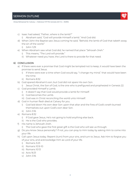

- c) Isaac had asked, "Father, where is the lamb?"
	- i) Abraham said, "God will provide Himself a lamb." And God did.
- d) When John the Baptist saw Jesus coming he said, "Behold, the lamb of God that taketh away the sin of the world."
	- i) John 1:29
- e) When Abraham saw what God did, he named that place "Jehovah-Jireh."
	- i) This means, "The Lord will provide."
	- ii) Whatever need you have, the Lord is there to provide for that need.

#### 6) CONCLUSION

- a) If there were ever a promise that God might be tempted not to keep, it would have been the promise to send Jesus.
	- i) If there were ever a time when God would say, "I change my mind," that would have been the time.
	- ii) Romans 8:32
- b) God spared Abraham's son; but God did not spare His own Son.
	- i) Jesus Christ, the Son of God, is the one who is prefigured and prophesied in Genesis 22.
- c) God provided Himself a Lamb.
	- i) It doesn't say that God would provide a lamb for Himself.
	- ii) God becomes the Lamb.
	- iii) God was in Christ reconciling the world unto Himself.
- d) God in human flesh died at Calvary for you.
	- i) God laid down His own dear Son upon that altar and the fires of God's wrath burned themselves out upon God's own dear Son.
	- ii) John 3:16
- e) Romans 8:32
	- i) If God gave Jesus, He's not going to hold anything else back.
	- ii) He is the God who provides.
- f) His name is Jehovah-Jireh.
	- i) The God who gave the first great gift is the God who will see us through.
- g) Do you know Jesus personally? If not, you can pray to Him today by asking Him to come into your life.
- h) Call upon Jesus today. Repent (turn) from your sins, and turn to Jesus. Ask Him to forgive you of your sins, and acknowledge Him as Lord of your life.
	- i) Romans 3:23
	- ii) Romans 10:9-10
	- iii) Romans 10:13
	- iv) Acts 16:31
	- v) John 3:16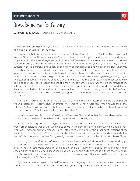

**SERMON REFERENCE:** Hebrews 11:17-19; Genesis 22:1-14

Take God's Word, find please if you would, the book of Hebrews chapter 11 and in a few moments we're going to look at verses 17 through 19.

Now as you hold your Bible in your hand may I tell you, look at me, may I tell you there is no book like the Bible! None! None whatsoever. The book that you hold in your hand is one book and yet it is sixty-six books. There are thirty-nine books in the Old Testament. There are twenty-seven in the New Testament. They were written over a period of about fifteen hundred years by at least forty different authors in three different languages, people from all backgrounds and walks of life. But when you bring them together, they don't make sixty-six books. They make one book; one book that is bound together. It has one hero, His name is Jesus. It has one villain, he is the devil. It has one theme, it is salvation. It has one purpose, the glory of God. And so if you read the Bible anywhere, you're going to find standing somewhere in the shadows, you're going to find the Lord Jesus. And that's what we're going to see today as we look in the life of a man whose name was Abraham. He's the father of the faithful, the brightest star in the Hebrew heaven. A name that is revered around the world, Father Abraham, the father of the faithful. And we're going to look back in history, centuries before Jesus Christ was born upon this earth and we're going to find a wonderful depiction of the life of our Lord Jesus Christ.

Now look if you will at the Scripture that we have here in the New Testament before we go back to the Old Testament. Hebrews chapter 11 verse 17 to verse 19, "By faith, Abraham, when he was tried," that is, tested, "offered up Isaac: and he that had received the promises offered up his only begotten son, of whom it was said, 'That in Isaac shall thy seed be called.'"

Now how was he able to do this? Well, verse 19 tells us, "Accounting that God was able to raise him up, even from the dead; from whence also he received him in a figure."

Now the word figure means a type, an illustration. In the Old Testament, God gave illustrations, types, prophecies, figures of that which is to come in the New Testament. Now why did God do that? Well many reasons, but one reason, friend, listen to me. It is one of the great confirmations of the inspiration of the Scripture. When you see way back here centuries, and centuries, and centuries before Jesus Christ was even born that God gives figures and types and prophecies of the Lord Jesus Christ.

Not only is it, therefore, a confirmation of the inspiration of the Scriptures, but correspondingly it is a confirmation of the deity of our Lord and Savior Jesus Christ as we see Him pictured there, tucked away in the Old Testament. Don't get the idea that the Old Testament is about something other than Jesus. All of the Bible is about Jesus. It's all about Jesus. And furthermore, it is there that we might have the joy that we're going to have this morning of discovering and feasting on these things that are tucked away in the Old Testament.

By the way, before we get to the Old Testament, let me give you a couple verses here to prove what I am talking about is not mere fancy. Put down in your margin John 8 verse 56. Jesus is talking to the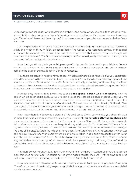Dress Rehearsal for Calvary | Hebrews 11:17-19; Genesis 22:1-14 | #2394

unbelieving Jews of His day who boasted in Abraham. And here's what Jesus said to those Jews, "Your father," talking about Abraham, "Your father Abraham rejoiced to see My day and he saw it and was glad." "Abraham", Jesus said, "saw My day." Now I want to remind you, this was centuries before Jesus was born.

Let me give you another verse, Galatians 3 verse 8, "And the Scripture, foreseeing that God would justify the heathen through faith, preached before the Gospel unto Abraham, saying, 'In thee shall all nations be blessed.'" The phrase that I want to extract from that verse is, "That the Gospel was preached to Abraham." "The Scriptures foreseeing that God would justify the heathen through faith, preached before the Gospel unto Abraham."

Now, having said that, let's go to this passage of Scripture. Go backward in your Bible to Genesis chapter 22. Genesis the first book. Find the first book. Fast forward 22 chapters and you're going to come to the basis of our text today in Genesis chapter 22.

Now there are some things I want you to see. What I'm going to do right now is give you a portrait of Jesus that is found in the Old Testament. Are you ready for it? I want you to see and delight yourself and feast on a portrait of Jesus found in the Old Testament. Actually, a prophecy of His coming crucifixion on the cross. I want you to see it and believe it and then I want you to ask yourself this question: "What does that mean to me today? What does it mean to me personally?"

Number one, the first thing I want you to see is **the special person who is described.** Now the person who is described is Isaac. But you're going to see that Isaac is a picture of Jesus. Look if you will in Genesis 22 verses 1 and 2, "And it came to pass after these things, that God did tempt," that is, test Abraham, "and said unto him 'Abraham.' And he said, 'Behold, here I am.' And He said," God said, "'Take now thy son, thine only son Isaac, whom thou lovest, and get thee into the land of Moriah; and offer him there for a burnt offering upon one of the mountains which I will tell thee of.'"

Now, Isaac therefore becomes a picture of the Lord Jesus Christ. Let me give you about six ways or more that He is a picture of the Lord Jesus Christ. First of all, **his miracle birth was prophesied.** Go back even further now to Genesis chapter 18 and begin in verse 9 to verse 14. The angel is coming to visit with Abraham and to make a prophesy. "And they said unto him," to Abraham, "'Where is Sarah thy wife?' And he said, 'Behold, in the tent.' And he said, 'I will certainly return unto thee according to the time of life; and, lo, Sarah thy wife shall have a son.' And Sarah heard it in the tent door, which was behind him. Now Abraham and Sarah were old and well stricken in age; and it ceased to be with Sarah after the manner of women." That is, Sarah had gone through the menopause. And, "Therefore Sarah laughed within herself, saying, 'After I am old shall I have pleasure, my lord being old also?' And the Lord said unto Abraham, 'Wherefore did Sarah laugh, saying, 'Shall I of a surety bear a child, which am old?''"

Now here's what the angel says, "Is any thing too hard for the Lord?" I want to ask you that question. Is anything too hard for God? Of course not. "Is anything too hard for the Lord?" "At the time appointed I will return unto thee, according to the time of life, and Sarah shall have a son."

Now Isaac was born of a miracle. Jesus was born of a miracle. Put in your margin, Isaiah 7 verse 14, "Therefore the Lord himself shall give you a sign, behold a virgin shall conceive and bear a son and shall call His name Immanuel."

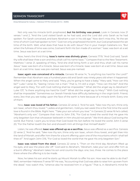Dress Rehearsal for Calvary | Hebrews 11:17-19; Genesis 22:1-14 | #2394



Not only was his miracle birth prophesied, **but his birthday was preset.** Look in Genesis now 21 verses 1 and 2, "And the Lord visited Sarah as he had said, and the Lord did unto Sarah as he had spoken. For Sarah conceived, and bare Abraham a son in his old age." Now don't miss this, "At the set time of which God had spoken to him." God not only prophesied the birth, but God prophesied the set time of the birth. Well, what does that have to do with Jesus? Put in your margin Galatians 4:4, "But when the fullness of time was come, God sent forth His Son made of a woman." Isaac was born at a set time. Jesus was born at a set time.

Now, here's the third thing. **Isaac's name was divinely given.** Genesis 17:19, "And God said, 'Sarah thy wife shall bear thee a son and thou shalt call his name Isaac.'" Compare that to the New Testament. Matthew 1 verse 21, speaking of Mary, "And she shall bring forth a son and thou shalt call His name Jesus." Isaac was born of a miracle. Jesus was born of a miracle. Isaac was born at a set time. Jesus was born at a set time. Isaac was pre-named. Jesus was pre-named.

**Isaac again was conceived of a miracle.** Genesis 18 verse 14, "Is anything too hard for the Lord?" Remember that Abraham was a hundred years old and Sarah was ninety years old when it happened. When the angel came to Mary and said, "Mary, you're going to have a baby." Mary said, "How can this be?" Luke 1 verse 34, "Seeing I know not a man." That is, I'm still a virgin. "'How can this be?' And the angel said to Mary, 'For with God nothing shall be impossible.'" What did the angel say to Abraham? Luke 1:37, "Is there anything too hard for God?" What did the angel say to Mary? "With God nothing shall be impossible." Sometimes our Jewish friends have difficulty believing in the virgin birth. Friend, every Jew that you see today upon the face of the earth is here because of a miracle birth. Every one of them.

Now, **Isaac was loved of his father.** Genesis 22 verse 2, "And he said, 'Take now thy son, thine only son Isaac, whom thou lovest.'" Ladies and gentlemen, I told you last week this is the first time the word love is found in the Bible. Right here. "'Take your son whom you love.'" In Genesis 22 verse 16 he's called, "Abraham's only son." Compare that now to John 3:16, "For God so loved the world that He gave His only begotten Son that whosoever believeth in Him should not perish." We think about God loving the world. But friend, I want you to know that God loved His Son before He loved the world. John 5 verse 20, "For the Father loveth the Son and showeth Him all things that Himself doeth."

Listen, he was offered, **Isaac was offered up as a sacrifice.** Jesus was offered as a sacrifice. Genesis 22 verse 2, "And he said, 'Take now thy son, thine only son Isaac, whom thou lovest, and get thee into the land of Moriah; and offer him there for a burnt offering upon one of the mountains which I shall tell thee of.'" And again John 3:16, "For God so loved the world that He gave His only begotten Son."

**Isaac was raised from the dead**. Genesis 22 verse 4, "Then on the third day Abraham lifted up his eyes, and saw the place afar off." God said to Abraham, "Abraham, take your son and offer him as a burnt offering." Abraham takes his son and counts the days: one, two, three. He comes to the place there where the offering is to be made.

Now, he takes his son and he starts up Mount Moriah to offer his son. How was he able to do that? Well, remember Hebrews 11 verse 19? He was, "Accounting that God was able to raise him up even from the dead," now watch this, "whence also he received him in a figure." That is, in Abraham's mind for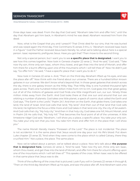Dress Rehearsal for Calvary | Hebrews 11:17-19; Genesis 22:1-14 | #2394

three days Isaac was dead. From the day that God said, "Abraham take him and offer him," until the day that Abraham got him back, in Abraham's mind he was dead. Abraham received him from the dead.

Now, what is the Gospel that you and I preach? That Christ died for our sins, that He was buried and was raised again the third day. First Corinthians 15 verses 3 thru 4. "Abraham received Isaac back in a figure." God the Father received Jesus back literally. So, what we're talking about here is a special person. Isaac represents, prefigures Jesus. Have you got that? Then move to the second thing.

Not only a special person, but I want you to see **a specific place that is designated.** I want you to see how this comes together. Now look in Genesis chapter 22 verse 2, "And He said," God said, "'Take now thy son, thine only son Isaac, whom thou lovest, and get thee into the land of Moriah; and offer him there for a burnt offering upon one of the mountains which I will tell thee of." Now He didn't just say, "Go offer him." He said, "I have a specific place that I want you to do it."

Now look in Genesis 22 verse 4. And, "Then on the third day Abraham lifted up his eyes, and saw the place afar off." Now think with me friend about our universe. There are a hundred billion known galaxies in our universe. We don't know what's beyond that. In those great galaxies that stretch across the sky, there is one galaxy known as the Milky Way. That Milky Way is one hundred thousand light years across. That's one hundred million billion miles from rim to rim. God goes into that great galaxy out of all of the millions of galaxies and God finds one little insignificant sun, our sun. Ninety three million miles away from the Earth. And God looks there at that one sun and around that sun are orbiting a number of planets. God takes one little planet, a speck of cosmic dust called the Earth and God says, "The Earth is the Lord's." Psalm 24:1. And then on the Earth, that globe there, God takes one land, the land of Israel. And God calls that land, "My land." And then out of that land that God calls His land, He tightens the focus a little more and God takes in that land one city, the city of Jerusalem. And God calls that city, "My holy city." And then in that holy city, God takes one hill, Mount Moriah, and in Psalm 2:6 He calls that, "My holy hill." That becomes the focal point of all of the universes. A little limestone ridge! God said, "Abraham, I will show you a place, a specific place. You take your only son. You take your only son that you love. You take him there and offer him in the place that I will show you."

The name Moriah literally means "Foreseen of the Lord." The place is not incidental. The place is not accidental. It is the same place that Jesus would one day pour out His life's blood. Put down Luke chapter 23 verse 33, "And when they were come to the place which is called Calvary, there they crucified Him." Not a place, the place. The same place.

Now we've talked about a person, we've talked about a place. Now let's talk about **the purpose that is designated here.** Genesis 22 verse 2, "And he said, 'Take now thy son, thine only son Isaac, whom thou lovest, and get thee into the land of Moriah; and offer him there for a burnt offering upon one of the mountains which I will tell thee of.'" This speaks of the cross. When Isaac was to be offered in that same place that Jesus was to die.

Think of the suffering of the cross that is pictured. Look if you will in Genesis 22 verses 4 through 8, "Then on the third day Abraham lifted up his eyes, and saw the place afar off. And Abraham said unto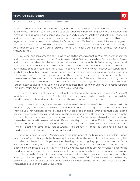

Dress Rehearsal for Calvary | Hebrews 11:17-19; Genesis 22:1-14 | #2394

his young men, 'Abide ye here with the ass; and I and the lad will go yonder and worship, and come again to you.'" Abraham says, "He's going to be slain, but we're both coming back. You talk about faith. We're going to go worship and come again to you. "And Abraham took the wood of the burnt offering and laid it upon Isaac his son; and he took the fire in his hand, and a knife: and they went both of them together. And Isaac spake unto Abraham his father, and said, 'Father.' And he said, 'Here am I, my son.' And he said," Isaac said, "'Behold the fire and the wood but where is a lamb for the burnt offering?' And Abraham said, 'My son, God will provide Himself a lamb for a burnt offering.' So they went both of them together."

Now, father and son come to a point beyond which the others cannot go. "You stay here," and father and son went to commune together. That tells me of dark Gethsemane where Jesus left Peter, James and John and the other disciples and He went alone to commune with His Father facing Calvary. And, Isaac looks at his father. In Abraham's hand there is a torch, a fire in one hand. There is a knife in his other hand. Isaac can read his father's face. He begins now to know what is about to happen. Think of what must have been going through Isaac's heart as he sees his father go up without a lamb, only with his own son up to that place of sacrifice. Think of what must have been in Abraham's heart. I know when my first son was born I ceased to think so much of the love of Jesus and I thought more of the love of a father. Though both, are infinite in their love. I thought how it must have moved the Father's heart to give His only Son to die upon that cross Think of how much the Lord Jesus suffered. Think how much God the Father suffered as it is pictured here.

Think of the suffering of the cross. Think of the suffering of the cross. Look in Genesis 22 verse 9, "And they came to the place which God had told him of; and Abraham built an altar there, and laid the wood in order, and bound Isaac his son, and laid him on the altar upon the wood."

Use your sanctified imagination. Here's the altar. Here's the wood. Here's the torch. Here's the knife. Abraham says, "Come here, son. Hold out your hands." And Abraham begins to bind those hands. Now I remind you that Abraham is well beyond one hundred years of age. I remind you that Isaac is not a child as we sometimes see pictured. Isaac is a strapping young man! He could have easily out run the old man. He could have taken the old man and bound him. But he presents himself to be bound. You know what Jesus said? "No man takes My life from Me. I lay it down of Myself." John 10:18. Here you see the son submitting himself to the father. They said of Jesus in Matthew 27 verse 42, "He saved others, Himself He could not save." They were so wrong. He saved others, Himself He would not be saved. He could have come down from that cross, but He did not.

Notice in Genesis 22 verse 6, "And Abraham took the wood of the burnt offering, and laid it upon Isaac his son." Wood is a symbol of humanity. It speaks about the wood of our wickedness being laid upon the Lord Jesus Christ. As you see Isaac bearing that wood going up this mountain that Jesus would one day die on, think of John 19 verse 17, "And He," Jesus, "bearing His cross, went forth into a place called the place of a skull, which is called Golgotha." Isaac goes up that mountain bearing the wood upon which he was to die. Jesus goes up the same mountain bearing that wooden cross upon which He was to die. Think of the sacrifice of the cross that is pictured. Abraham has a knife and he has a torch, and he has ropes. The cord speaks of the binding power of sin. The knife speaks of the bleeding power of sin. The fire speaks of the burning power of sin because the fires of God's wrath would burn themselves out upon the Lord Jesus Christ.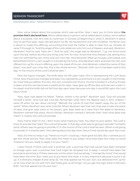Dress Rehearsal for Calvary | Hebrews 11:17-19; Genesis 22:1-14 | #2394



Now, we've talked about the purpose which was sacrifice. Now I want you to think about **the promise that's declared here.** We've talked about a person, we've talked about a place, we've talked about a purpose, now let's look at a promise. In Genesis 22 beginning in verse 11, Abraham is about now to sacrifice Isaac. Isaac has laid down his life. He has become one with his father. His father now is about to make this offering, accounting that God the Father is able to raise him up. Genesis 22 verse 11 through 14, "And the angel of the Lord called out unto him out of Heaven, and said, 'Abraham, Abraham!' And he said, 'Here am I.' And he said," the angel said to Abraham, "'Lay not thine hand upon the lad, neither do thou any thing unto him: for now I know that thou fearest God, seeing thou hast not withheld thy son, thine only son from Me.' And Abraham lifted up his eyes, and looked, and behold behind him a ram caught in a thicket by his horns. And Abraham went and took the ram, and offered him up for a burnt offering upon the stead of his son. And Abraham called the name of that place," now don't you miss this, this is the whole sermon, "Jehovah-Jireh: as it is has been said to this day, 'In the mount of the Lord it shall be seen.'"

Now the figure changes. The knife does not fall upon Isaac who is representing the Lord Jesus Christ. Now the picture changes and Isaac now represents us and there is a ram caught in the thicket. As I have told you before, this ram, this ram crowned with thorns. His horns locked in a thorny thicket is taken and this ram becomes a substitute for Isaac. Isaac gets up off the altar and the ram is slain in his stead. And the knife did not fall that day upon Isaac because one day it would fall upon the Lord Jesus Christ.

Now, Isaac had asked his father, "Father, where is the lamb?" Abraham said, "God will provide Himself a lamb." And God did. God did. Remember what John the Baptist said in John chapter 1 verse 29 when he saw Jesus coming? "Behold, the Lamb of God that taketh away the sin of the world." When Abraham saw what God did. When Abraham saw that ram that was to take the place of Isaac and give Isaac back to his bosom, give Isaac back as it were from the dead to Abraham, Abraham named that place, Mount Moriah, Abraham named it Jehovah-Jireh. Now what does that mean? It means: the Lord will provide.

Now, friend, listen to me. I don't know what need you have. You listen to your pastor. The Lord is there to provide that need. The Lord will provide. In that day, what was he going to provide? Himself a lamb. Where was He going to provide it? In the mount of the Lord it shall be seen. When is He going to provide it? It shall be seen. He's talking about the day when Jesus Christ would die upon the cross.

Now, it's time to wrap it up. There's so much I could say, I have gone too fast. But I wanted you to get the whole picture. Now what does this mean to you today? And what does this mean to world missions? Are you ready to apply it to your heart?

Listen friend, if there were ever a promise, ever a promise that God would have been tempted to renege upon, ever a promise that God might be tempted not to keep, it would have been the promise to send Jesus. If there were ever a time when God would say, "I change My mind," that would have been the time. But I want you to put down this verse. It is very important because it sums it all up. It is Romans chapter 8 and verse 32, "He that spared not His own Son, but delivered Him up for us all, how shall He not with Him also freely give us all things." Do you get the logic there in Romans 8:32? "He that spared not His own Son."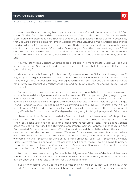Dress Rehearsal for Calvary | Hebrews 11:17-19; Genesis 22:1-14 | #2394



Now when Abraham is taking Isaac up at the last moment, God said, "Abraham, don't do it." God spared Abraham's son. But God did not spare His own Son. Jesus Christ, the Son of God is the one who is prefigured and prophesied here in Genesis chapter 22. God provided Himself a Lamb. It doesn't say that God would provide a lamb for Himself. God becomes the Lamb! God was in Christ reconciling the world unto Himself. God provided Himself as a Lamb. God in human flesh died. God the mighty maker died for man, the creature's sin! God died at Calvary for you! Does that mean anything to you? That God laid down His own dear Son upon that altar that the fires of God's wrath burned themselves out upon God's own dear Son, because, "Because God so loved the world that He gave His only begotten Son."

Now you listen to me. Listen to what the apostle Paul said in Romans chapter 8 verse 32, "For if God spared not His own Son, but delivered Him up freely for us all; how shall He not also with Him freely give us all things?"

My son, his name is Steve, my first born son. If you were to ask me, "Adrian, can I have your son?" Say, "Why should I give you my son?" "Well, I want to torture him and then kill him for some cause that I have. Will you give me your son?" "No, I won't give you my son. I don't love you that much. No, I would not give you my son that you might torture him and put him to death. For whatever cause, I would not do that."

But suppose I loved you and your cause enough, your need enough that I were to give you my own son that he would die in ignominy and shame, be brutalized. If I loved you enough to give you my son and then you said, "Can I also have his computer? Can I also have his sport jacket? Can I also have his automobile?" Of course. If I did not spare the son, would I not also with him freely give you all things? Friend, if God gave Jesus, He's not going to hold anything else back. Do you understand that? If God gave Jesus and, "Delivered Him up freely for us all, how shall He not also with Him freely give us all things?" He is the God who provides. If God gave the one great gift, He's going to give all of the others.

I have proved it in life. When I needed a Savior and I said, "Lord Jesus, save me." He provided salvation. When He called me to preach and I didn't know how I was going to do it. My dad said, "Son, I wish I could send you to college, but I can't. I don't have the resources." I said, "That's alright. God has called me. God will provide." For eight years, seven of them married, I went to higher education and God provided. God met my every need. When Joyce and I walked through the valley of the shadow of death and a little baby was taken to Heaven. We looked for a surcease, we looked for comfort. Where would we go? He was there and He provided the need of every heart. When I began to preach, I wondered what will I preach. First three or four times I preached, I said, "Well, I preached the whole Bible. Now what am I going to do?" That was over a half a century ago. How am I going to preach? I stand before you to tell you that God has provided Sunday after Sunday after Sunday after Sunday from the deep well of His Word. God provides. God provides.

And one of those days when my feet touch the chilly waters of the river of death. And that day is coming for all of us if Jesus tarries. My Provider, Jehovah-Jireh, will be there, "He that spared not His own Son, how shall He not also with Him freely give us all things?"

If you're wondering, "Oh, if God calls me to missions, how will I do it? How will I make it? What will I do?" I'll tell you how you will make it. Jehovah-Jireh will provide for you. A missionary back in the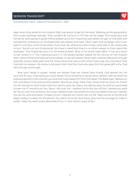Dress Rehearsal for Calvary | Hebrews 11:17-19; Genesis 22:1-14 | #2394



days when they sailed to the mission field, was about to get on the boat. Walking up the gang plank, the trunks had been packed. They couldn't fly home on a 747 like we do today. The missionary and his family were going. A good friend walked up to the missionary just before he got on the boat and handed the missionary an envelope that was sealed. And said, "Don't open this envelope. Don't ever open it until you come to the place, if you ever do, where you don't know what else to do, where else to turn. You've run out of resources. You have a need that there is no other answer to: then open this envelope." The missionary put it in his breast pocket. Most of us would have taken it out, you know to see what's in it. The missionary put it in his breast pocket; stayed his full tenure on the mission field. Came home and held up the envelope. It was still sealed. Never been opened. Because through sickness, sorrow, tears, pain and toil, there never ever was a time when there was not a provision that God did not answer. His name is Jehovah-Jireh. And the God who gave the first great gift is the God who will see us through.

Bow your heads in prayer. Heads are bowed. Eyes are closed. Now friend, God spared not His own Son for you. God wants you to be saved. You're saved by trusting Jesus. Believe that He shed His precious blood on the cross for you and that God raised Him from the dead. The Bible says, "Believe on the Lord Jesus Christ and you'll be saved." Would you pray, "Dear God, I know that You love me. Thank You for loving me. And I know that You want to save me. Jesus, You died to save me and You promised to save me if I would trust You. Jesus, I do trust You. I believe You're the Son of God. I believe you paid for my sin with Your blood on the cross. I believe that God raised You from the dead. And now I receive You as my Lord and Savior. Forgive my sin. Cleanse me. Come into my life. Take control of my life and begin today to make me the person You want me to be. And Jesus, give me the courage to make it public. Help me never to be ashamed of You. In Your name I pray, Amen."